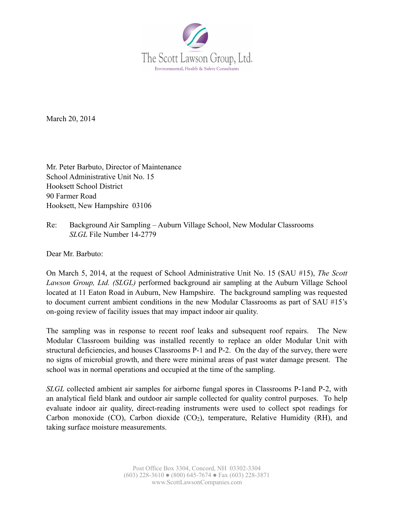

March 20, 2014

Mr. Peter Barbuto, Director of Maintenance School Administrative Unit No. 15 Hooksett School District 90 Farmer Road Hooksett, New Hampshire 03106

Re: Background Air Sampling – Auburn Village School, New Modular Classrooms *SLGL* File Number 14-2779

Dear Mr. Barbuto:

On March 5, 2014, at the request of School Administrative Unit No. 15 (SAU #15), *The Scott Lawson Group, Ltd. (SLGL)* performed background air sampling at the Auburn Village School located at 11 Eaton Road in Auburn, New Hampshire. The background sampling was requested to document current ambient conditions in the new Modular Classrooms as part of SAU #15's on-going review of facility issues that may impact indoor air quality.

The sampling was in response to recent roof leaks and subsequent roof repairs. The New Modular Classroom building was installed recently to replace an older Modular Unit with structural deficiencies, and houses Classrooms P-1 and P-2. On the day of the survey, there were no signs of microbial growth, and there were minimal areas of past water damage present. The school was in normal operations and occupied at the time of the sampling.

*SLGL* collected ambient air samples for airborne fungal spores in Classrooms P-1and P-2, with an analytical field blank and outdoor air sample collected for quality control purposes. To help evaluate indoor air quality, direct-reading instruments were used to collect spot readings for Carbon monoxide  $(CO)$ , Carbon dioxide  $(CO<sub>2</sub>)$ , temperature, Relative Humidity (RH), and taking surface moisture measurements.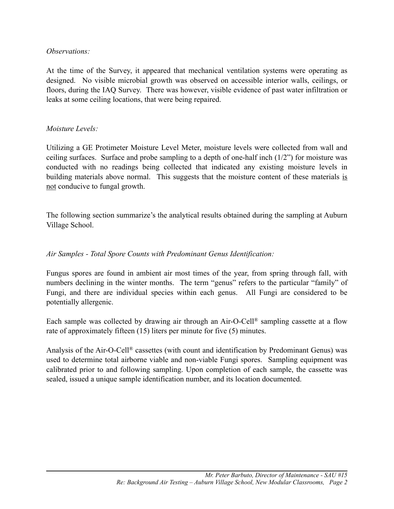#### *Observations:*

At the time of the Survey, it appeared that mechanical ventilation systems were operating as designed. No visible microbial growth was observed on accessible interior walls, ceilings, or floors, during the IAQ Survey. There was however, visible evidence of past water infiltration or leaks at some ceiling locations, that were being repaired.

#### *Moisture Levels:*

Utilizing a GE Protimeter Moisture Level Meter, moisture levels were collected from wall and ceiling surfaces. Surface and probe sampling to a depth of one-half inch  $(1/2)$  for moisture was conducted with no readings being collected that indicated any existing moisture levels in building materials above normal. This suggests that the moisture content of these materials is not conducive to fungal growth.

The following section summarize's the analytical results obtained during the sampling at Auburn Village School.

#### *Air Samples - Total Spore Counts with Predominant Genus Identification:*

Fungus spores are found in ambient air most times of the year, from spring through fall, with numbers declining in the winter months. The term "genus" refers to the particular "family" of Fungi, and there are individual species within each genus. All Fungi are considered to be potentially allergenic.

Each sample was collected by drawing air through an Air-O-Cell® sampling cassette at a flow rate of approximately fifteen (15) liters per minute for five (5) minutes.

Analysis of the Air-O-Cell® cassettes (with count and identification by Predominant Genus) was used to determine total airborne viable and non-viable Fungi spores. Sampling equipment was calibrated prior to and following sampling. Upon completion of each sample, the cassette was sealed, issued a unique sample identification number, and its location documented.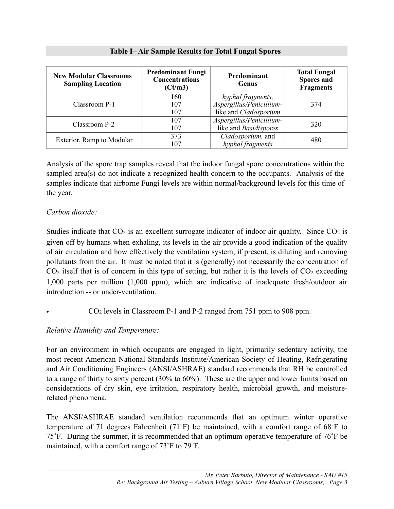| <b>New Modular Classrooms</b><br><b>Sampling Location</b> | <b>Predominant Fungi</b><br><b>Concentrations</b><br>(Ct/m3) | Predominant<br>Genus     | <b>Total Fungal</b><br><b>Spores and</b><br><b>Fragments</b> |  |  |
|-----------------------------------------------------------|--------------------------------------------------------------|--------------------------|--------------------------------------------------------------|--|--|
|                                                           | 160                                                          | hyphal fragments,        |                                                              |  |  |
| Classroom P-1                                             | 107                                                          | Aspergillus/Penicillium- | 374                                                          |  |  |
|                                                           | 107                                                          | like and Cladosporium    |                                                              |  |  |
| Classroom P-2                                             | 107                                                          | Aspergillus/Penicillium- | 320                                                          |  |  |
|                                                           | 107                                                          | like and Basidispores    |                                                              |  |  |
| Exterior, Ramp to Modular                                 | 373                                                          | Cladosporium, and        | 480                                                          |  |  |
|                                                           | 107                                                          | hyphal fragments         |                                                              |  |  |

**Table I– Air Sample Results for Total Fungal Spores**

Analysis of the spore trap samples reveal that the indoor fungal spore concentrations within the sampled area(s) do not indicate a recognized health concern to the occupants. Analysis of the samples indicate that airborne Fungi levels are within normal/background levels for this time of the year.

# *Carbon dioxide:*

Studies indicate that  $CO<sub>2</sub>$  is an excellent surrogate indicator of indoor air quality. Since  $CO<sub>2</sub>$  is given off by humans when exhaling, its levels in the air provide a good indication of the quality of air circulation and how effectively the ventilation system, if present, is diluting and removing pollutants from the air. It must be noted that it is (generally) not necessarily the concentration of  $CO<sub>2</sub>$  itself that is of concern in this type of setting, but rather it is the levels of  $CO<sub>2</sub>$  exceeding 1,000 parts per million (1,000 ppm), which are indicative of inadequate fresh/outdoor air introduction -- or under-ventilation.

• CO2 levels in Classroom P-1 and P-2 ranged from 751 ppm to 908 ppm.

# *Relative Humidity and Temperature:*

For an environment in which occupants are engaged in light, primarily sedentary activity, the most recent American National Standards Institute/American Society of Heating, Refrigerating and Air Conditioning Engineers (ANSI/ASHRAE) standard recommends that RH be controlled to a range of thirty to sixty percent (30% to 60%). These are the upper and lower limits based on considerations of dry skin, eye irritation, respiratory health, microbial growth, and moisturerelated phenomena.

The ANSI/ASHRAE standard ventilation recommends that an optimum winter operative temperature of 71 degrees Fahrenheit (71˚F) be maintained, with a comfort range of 68˚F to 75˚F. During the summer, it is recommended that an optimum operative temperature of 76˚F be maintained, with a comfort range of 73˚F to 79˚F.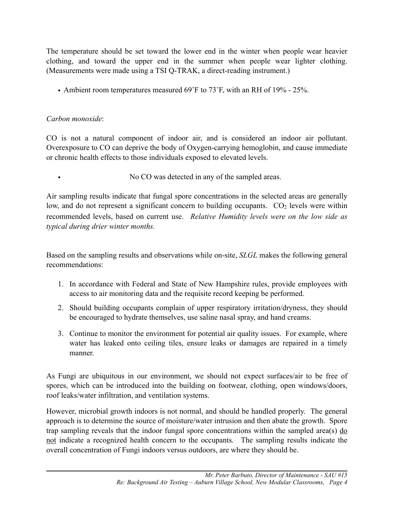The temperature should be set toward the lower end in the winter when people wear heavier clothing, and toward the upper end in the summer when people wear lighter clothing. (Measurements were made using a TSI Q-TRAK, a direct-reading instrument.)

• Ambient room temperatures measured 69°F to 73°F, with an RH of 19% - 25%.

# *Carbon monoxide*:

CO is not a natural component of indoor air, and is considered an indoor air pollutant. Overexposure to CO can deprive the body of Oxygen-carrying hemoglobin, and cause immediate or chronic health effects to those individuals exposed to elevated levels.

No CO was detected in any of the sampled areas.

Air sampling results indicate that fungal spore concentrations in the selected areas are generally low, and do not represent a significant concern to building occupants.  $CO<sub>2</sub>$  levels were within recommended levels, based on current use. *Relative Humidity levels were on the low side as typical during drier winter months.*

Based on the sampling results and observations while on-site, *SLGL* makes the following general recommendations:

- 1. In accordance with Federal and State of New Hampshire rules, provide employees with access to air monitoring data and the requisite record keeping be performed.
- 2. Should building occupants complain of upper respiratory irritation/dryness, they should be encouraged to hydrate themselves, use saline nasal spray, and hand creams.
- 3. Continue to monitor the environment for potential air quality issues. For example, where water has leaked onto ceiling tiles, ensure leaks or damages are repaired in a timely manner.

As Fungi are ubiquitous in our environment, we should not expect surfaces/air to be free of spores, which can be introduced into the building on footwear, clothing, open windows/doors, roof leaks/water infiltration, and ventilation systems.

However, microbial growth indoors is not normal, and should be handled properly. The general approach is to determine the source of moisture/water intrusion and then abate the growth. Spore trap sampling reveals that the indoor fungal spore concentrations within the sampled area(s)  $\underline{do}$ not indicate a recognized health concern to the occupants. The sampling results indicate the overall concentration of Fungi indoors versus outdoors, are where they should be.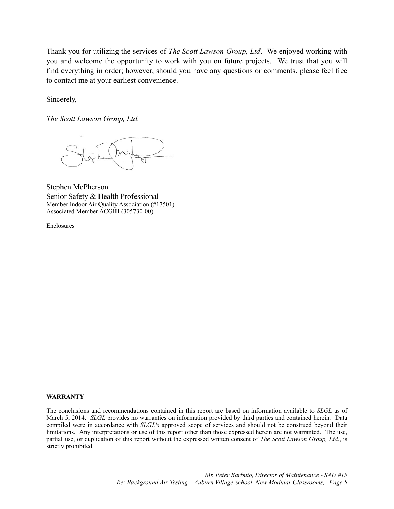Thank you for utilizing the services of *The Scott Lawson Group, Ltd*. We enjoyed working with you and welcome the opportunity to work with you on future projects. We trust that you will find everything in order; however, should you have any questions or comments, please feel free to contact me at your earliest convenience.

Sincerely,

*The Scott Lawson Group, Ltd.* 

Stephen McPherson Senior Safety & Health Professional Member Indoor Air Quality Association (#17501) Associated Member ACGIH (305730-00)

Enclosures

#### **WARRANTY**

The conclusions and recommendations contained in this report are based on information available to *SLGL* as of March 5, 2014. *SLGL* provides no warranties on information provided by third parties and contained herein. Data compiled were in accordance with *SLGL's* approved scope of services and should not be construed beyond their limitations. Any interpretations or use of this report other than those expressed herein are not warranted. The use, partial use, or duplication of this report without the expressed written consent of *The Scott Lawson Group, Ltd.*, is strictly prohibited.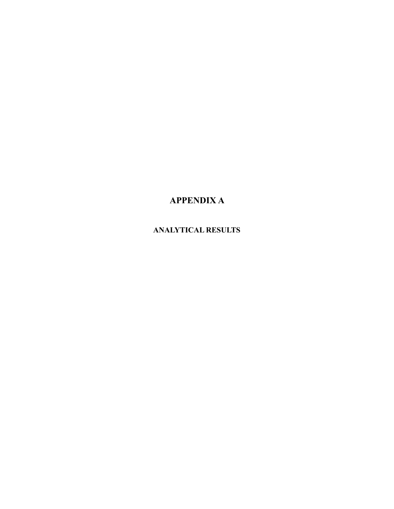# **APPENDIX A**

# **ANALYTICAL RESULTS**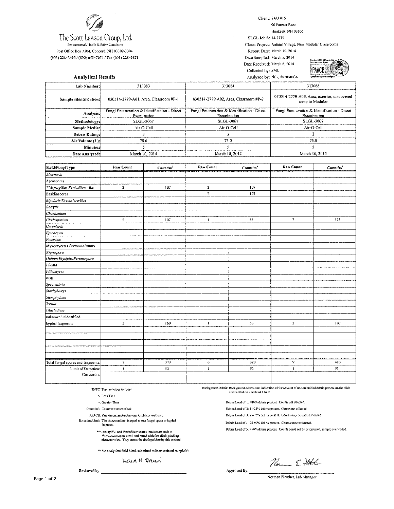

The Scott Lawson Group, Ltd.

Favironmental, Health & Safety Consultants Post Office Box 3304, Concord, NH 03302-3304

(603) 228-3610 / (800) 645-7674 / Fax (603) 228-3871

Client: SAU #15 90 Farmer Road

Hooksett, NH 03106

SLGL Job #: 14-2779 Client Project: Auburn Village, New Modular Classrooms Report Date: March 10, 2014 Date Sampled: March 5, 2014

Date Received: March 6, 2014 Collected by: SMC Analyzed by: NEF, #01040036



| <b>Analytical Results</b> |                                                            | <b>Excellent Sport Analysis</b><br>Analyzed by: NEF, #01040036 |                                                                |  |  |  |  |  |  |
|---------------------------|------------------------------------------------------------|----------------------------------------------------------------|----------------------------------------------------------------|--|--|--|--|--|--|
| Lab Number:!              | 313083                                                     | 313084                                                         | 313085                                                         |  |  |  |  |  |  |
| Sample Identification:    | 030514-2779-A01, Area, Classroom #P-1                      | 030514-2779-A02, Area, Classroom #P-2                          | 030514-2779-A03, Area, exterior, on covered<br>ramp to Modular |  |  |  |  |  |  |
| Analysis:                 | Fungi Enumeration & Identification - Direct<br>Examination | Fungi Enumeration & Identification - Direct<br>Examination     | Fungi Enumeration & Identification - Direct<br>Examination     |  |  |  |  |  |  |
| Methodology:              | <b>SLGL 3067</b>                                           | <b>SLGL-3067</b>                                               | SLGL-3067                                                      |  |  |  |  |  |  |
| Sample Media:             | Air-O-Cell                                                 | Air-O-Cell                                                     | Air-O-Cell                                                     |  |  |  |  |  |  |
| Debris Rating:            |                                                            |                                                                |                                                                |  |  |  |  |  |  |
| Air Volume (L):           | 75.0                                                       | 75.0                                                           | 75.0                                                           |  |  |  |  |  |  |
| Minutes:                  |                                                            |                                                                |                                                                |  |  |  |  |  |  |
| Date Analyzed:            | March 10, 2014                                             | March 10, 2014                                                 | March 10, 2014                                                 |  |  |  |  |  |  |

| Mold/Fungi Type                    | <b>Raw Count</b> | Count/m <sup>3</sup> | <b>Raw Count</b>        | Count/m <sup>3</sup> | <b>Raw Count</b>          | Countm |
|------------------------------------|------------------|----------------------|-------------------------|----------------------|---------------------------|--------|
| Alternaria                         |                  |                      |                         |                      |                           |        |
| Ascospores                         |                  |                      |                         |                      |                           |        |
| **Aspergillus/Penicillium-like     | $\mathbf{2}$     | 107                  | $\mathbf{r}$            | 107                  |                           |        |
| Basidiospores                      |                  |                      | $\overline{\mathbf{z}}$ | 107                  |                           |        |
| Bipolaris/Drechslera-like          |                  |                      |                         |                      |                           |        |
| <b>Botrytis</b>                    |                  |                      |                         |                      |                           |        |
| Chaetomium                         |                  |                      |                         |                      |                           |        |
| Cladosporium                       | $\mathbf 2$      | 107                  | $\mathbf{i}$            | 53                   | $\overline{\overline{t}}$ | 373    |
| Curvularia                         |                  |                      |                         |                      |                           |        |
| Epicoccum                          |                  |                      |                         |                      |                           |        |
| Fusarium                           |                  |                      |                         |                      |                           |        |
| Myxomycetes Periconia/smuts        |                  |                      |                         |                      |                           |        |
| Nigrospora                         |                  |                      |                         |                      |                           |        |
| Oidium Erysiphe Peronospora        |                  |                      |                         |                      |                           |        |
| Phoma                              |                  |                      |                         |                      |                           |        |
| Pithomyces                         |                  |                      |                         |                      |                           |        |
| <b>Lusts</b>                       |                  |                      |                         |                      |                           |        |
| Spegazzinia                        |                  |                      |                         |                      |                           |        |
| Stachybotrys                       |                  |                      |                         |                      |                           |        |
| Stemphylium                        |                  |                      |                         |                      |                           |        |
| Torula                             |                  |                      |                         |                      |                           |        |
| <b>Ulocladium</b>                  |                  |                      |                         |                      |                           |        |
| unknown/unidentified               |                  |                      |                         |                      |                           |        |
| hyphal fragments                   | $\overline{3}$   | 160                  | $\mathbf{1}$            | 53                   | $\mathbf{z}$              | 107    |
|                                    |                  |                      |                         |                      |                           |        |
|                                    |                  |                      |                         |                      |                           |        |
|                                    |                  |                      |                         |                      |                           |        |
|                                    |                  |                      |                         |                      |                           |        |
|                                    |                  |                      |                         |                      |                           |        |
| Total fungal spores and fragments: | $\overline{7}$   | 373                  | 6                       | 320                  | 9                         | 480    |
| Limit of Detection:                | ŧ                | 53                   | $\mathbf{1}$            | 53                   | ı                         | 53     |
| Comments:                          |                  |                      |                         |                      |                           |        |

TNTC: Too numerous to count

 $\le$  Less Time

 $\geq$  Greater Than

Count/m3: Count per meter cabed

PAACB: Pan-American Aerobiology Certification Board Detection Limit: The detection limit is equal to one fungal spore or hyphal

fragment.

\*\*: Aspergillus and Penicillium sporos (and others such as<br>Paecilomyces) are small and round with few distinguishing<br>characteristics. They cannot be distinguished by this method.

\*: No analytical field blank submitted with associated sample(s).

Helen M. Green

Reviewed by:

Background Debris: Background debris is an indication of the amount of non-microbial debris present on the slide<br>and is rated on a scale of  $1$  to 5:

Debris Load of 1: <10% debris present. Counts not affected.

Debris Load of 2: 11-25% debris present. Counts not affected.

Debris Load of 3: 25-75% debris present. Counts may be underestimated.

Debris Load of 4: 76-90% debris present. Counts underestimated.

Debris Load of 5: >90% debris present. Counts could not be determined, sample overloaded.

Norme E Hotel

Approved By: Norman Fletcher, Lab Manager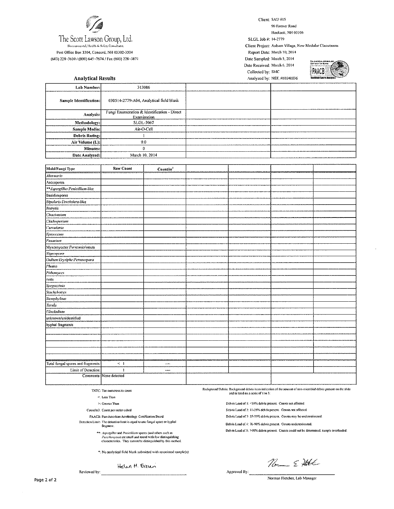

Post Office Box 3304, Concord, NH 03302-3304 (603) 228-3610 / (800) 645-7674 / Fax (603) 228~3871

**Analytical Results** 

Client: SAU #15

90 Farmer Road Hooksett, NH 03106

SLGL Job #: 14-2779 Client Project: Auburn Village, New Modular Classrooms Report Date: March 10, 2014 Date Sampled: March 5, 2014 Date Received: March 6, 2014





| Lab Number:            | 313086                                                     |  |
|------------------------|------------------------------------------------------------|--|
| Sample Identification: | 030514-2779-A04, Analytical field blank                    |  |
| Analysis:              | Fungi Enumeration & Identification - Direct<br>Examination |  |
| Methodology:           | SLGL-3067                                                  |  |
| Sample Media:          | Air-O-Cell                                                 |  |
| Debris Rating:         |                                                            |  |
| Air Volume (L):        | 0.0                                                        |  |
| Minutes:               | ß                                                          |  |
| Date Analyzed:         | March 10, 2014                                             |  |

| Mold/Fungi Type                    | <b>Raw Count</b>        | Count/m <sup>3</sup> |  |  |
|------------------------------------|-------------------------|----------------------|--|--|
| Alternaria                         |                         |                      |  |  |
| Ascospores                         |                         |                      |  |  |
| **Aspergillus/Penicillium-like     |                         |                      |  |  |
| Basídiospores                      |                         |                      |  |  |
| Bipolaris/Drechslera-like          |                         |                      |  |  |
| <b>Botrytis</b>                    |                         |                      |  |  |
| Chaetomium                         |                         |                      |  |  |
| Cladosporium                       |                         |                      |  |  |
| Curvularia                         |                         |                      |  |  |
| Epicoccum                          |                         |                      |  |  |
| Fusarium                           |                         |                      |  |  |
| Myxomycetes Periconia/smuts        |                         |                      |  |  |
| Nigrospora                         |                         |                      |  |  |
| Oidium/Erysiphe/Peronospora        |                         |                      |  |  |
| Phoma                              |                         |                      |  |  |
| Pithomyces                         |                         |                      |  |  |
| rusts                              |                         |                      |  |  |
| Spegazzinia                        |                         |                      |  |  |
| <b>Stachybotrys</b>                |                         |                      |  |  |
| Stemphylium                        |                         |                      |  |  |
| Torula                             |                         |                      |  |  |
| Ulocladium                         |                         |                      |  |  |
| unknown/unidentified               |                         |                      |  |  |
| hyphal fragments                   |                         |                      |  |  |
|                                    |                         |                      |  |  |
|                                    |                         |                      |  |  |
|                                    |                         |                      |  |  |
|                                    |                         |                      |  |  |
|                                    |                         |                      |  |  |
| Total fungal spores and fragments: | $\leq$ 1                | ---                  |  |  |
| Limit of Detection:                | $\mathbf{1}$            | $\cdots$             |  |  |
|                                    | Comments: None detected |                      |  |  |

TNTC: Too numerous to count

 $\leq$  Less Than

 $\geq$  Greater Than

Count/m3: Count per meter cubed

PAACB: Pan-American Aerobiology Certification Board

Detection Limit: The detection limit is equal to one fungal spore or hyphal fragment.

\*\*: Aspergillus and Penicillium spares (and others such as Paccilomyces) are small and round with few distinguishing<br>characteristics. They cannot be distinguished by this method.

\*: No analytical field blank submitted with associated sample(s).

Helen H. Brun

Background Debris: Background debris is an indication of the amount of non-microbial debris present on the slide and is rated on a scale of 1 to 5:

Debris Load of 1: <10% debris present. Counts not affected.

Debris Load of 2: 11-25% debris present. Counts not affected.

Debris Load of 3: 25-75% debris present. Counts may be underestimated.

Debris Load of 4: 76-90% debris present. Counts underestimated.

Debris Load of 5: >90% debris present. Counts could not be determined, sample overloaded.

Norme & Hotel

Reviewed by:

Approved By:

Norman Fletcher, Lab Manager